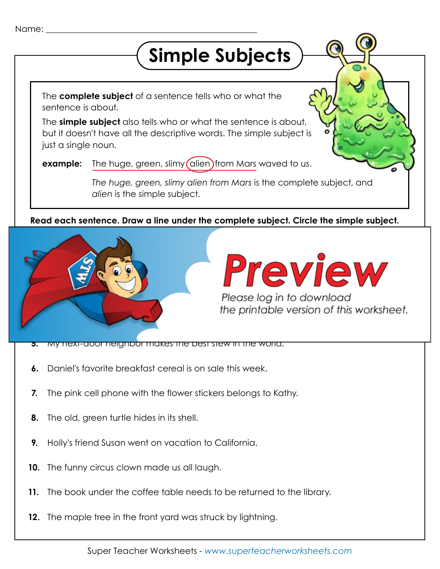## **Simple Subjects**

The **complete subject** of a sentence tells who or what the sentence is about.

The **simple subject** also tells who or what the sentence is about, but it doesn't have all the descriptive words. The simple subject is just a single noun.

The huge, green, slimy (alien) from Mars waved to us. **example:**

> *The huge, green, slimy alien from Mars* is the complete subject, and *alien* is the simple subject.

**Read each sentence. Draw a line under the complete subject. Circle the simple subject.**



## **Preview**

**Please log in to download** the printable version of this worksheet.

- **5.** My next-door neighbor makes the best stew in the world.
- **6.** Daniel's favorite breakfast cereal is on sale this week.
- **7.** The pink cell phone with the flower stickers belongs to Kathy.
- **8.** The old, green turtle hides in its shell.
- **9.** Holly's friend Susan went on vacation to California.
- **10.** The funny circus clown made us all laugh.
- **11.** The book under the coffee table needs to be returned to the library.
- **12.** The maple tree in the front yard was struck by lightning.